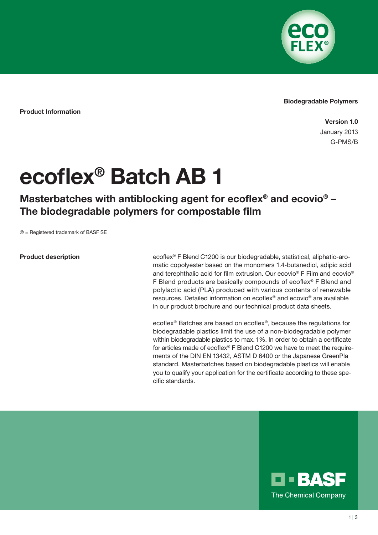

## Biodegradable Polymers

Product Information

Version 1.0 January 2013 G-PMS/B

## ecoflex® Batch AB 1

Masterbatches with antiblocking agent for ecoflex<sup>®</sup> and ecovio<sup>®</sup> -The biodegradable polymers for compostable film

® = Registered trademark of BASF SE

## Product description

ecoflex® F Blend C1200 is our biodegradable, statistical, aliphatic-aromatic copolyester based on the monomers 1.4-butanediol, adipic acid and terephthalic acid for film extrusion. Our ecovio® F Film and ecovio® F Blend products are basically compounds of ecoflex® F Blend and polylactic acid (PLA) produced with various contents of renewable resources. Detailed information on ecoflex® and ecovio® are available in our product brochure and our technical product data sheets.

ecoflex® Batches are based on ecoflex®, because the regulations for biodegradable plastics limit the use of a non-biodegradable polymer within biodegradable plastics to max. 1%. In order to obtain a certificate for articles made of ecoflex® F Blend C1200 we have to meet the requirements of the DIN EN 13432, ASTM D 6400 or the Japanese GreenPla standard. Masterbatches based on biodegradable plastics will enable you to qualify your application for the certificate according to these specific standards.

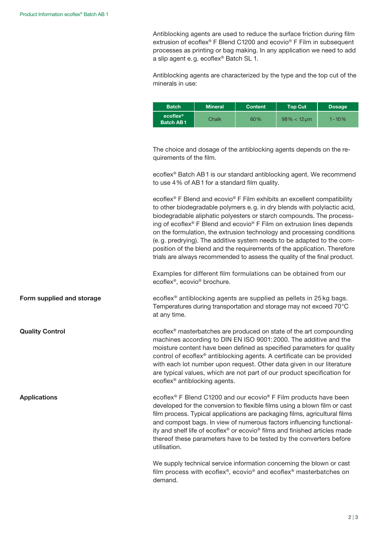Antiblocking agents are used to reduce the surface friction during film extrusion of ecoflex<sup>®</sup> F Blend C1200 and ecovio<sup>®</sup> F Film in subsequent processes as printing or bag making. In any application we need to add a slip agent e.g. ecoflex® Batch SL 1.

Antiblocking agents are characterized by the type and the top cut of the minerals in use:

| <b>Batch</b>                              | <b>Mineral</b> | <b>Content</b> | <b>Top Cut</b> | <b>Dosage</b> |
|-------------------------------------------|----------------|----------------|----------------|---------------|
| $ecoflex^{\circledR}$<br><b>Batch AB1</b> | Chalk          | 60%            | $98\% < 12$ um | $1 - 10%$     |

The choice and dosage of the antiblocking agents depends on the requirements of the film.

ecoflex® Batch AB1 is our standard antiblocking agent. We recommend to use 4 % of AB1 for a standard film quality.

ecoflex® F Blend and ecovio® F Film exhibits an excellent compatibility to other biodegradable polymers e.g. in dry blends with polylactic acid, biodegradable aliphatic polyesters or starch compounds. The processing of ecoflex® F Blend and ecovio® F Film on extrusion lines depends on the formulation, the extrusion technology and processing conditions (e.g. predrying). The additive system needs to be adapted to the composition of the blend and the requirements of the application. Therefore trials are always recommended to assess the quality of the final product.

Examples for different film formulations can be obtained from our ecoflex®, ecovio® brochure.

ecoflex® antiblocking agents are supplied as pellets in 25 kg bags. Temperatures during transportation and storage may not exceed 70°C at any time.

ecoflex® masterbatches are produced on state of the art compounding machines according to DIN EN ISO 9001: 2000. The additive and the moisture content have been defined as specified parameters for quality control of ecoflex® antiblocking agents. A certificate can be provided with each lot number upon request. Other data given in our literature are typical values, which are not part of our product specification for ecoflex® antiblocking agents.

ecoflex® F Blend C1200 and our ecovio® F Film products have been developed for the conversion to flexible films using a blown film or cast film process. Typical applications are packaging films, agricultural films and compost bags. In view of numerous factors influencing functionality and shelf life of ecoflex® or ecovio® films and finished articles made thereof these parameters have to be tested by the converters before utilisation.

We supply technical service information concerning the blown or cast film process with ecoflex®, ecovio® and ecoflex® masterbatches on demand.

Form supplied and storage

Quality Control

**Applications**